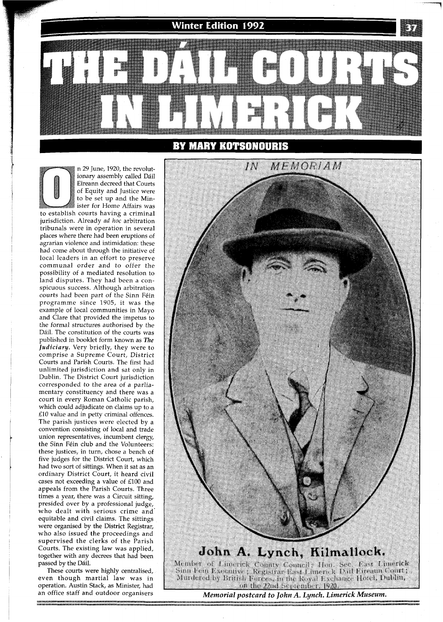**Winter Edition 1992** 

## **BY MARY KOTSONOURIS**



ionary assembly called Dáil Eireann decreed that Courts of Equity and Justice were to be set up and the Minister for Home Affairs was to establish courts having a criminal jurisdiction. Already ad *hoc* arbitration tribunals were in operation in several places where there had been eruptions of agrarian violence and intimidation: these had come about through the initiative of local leaders in an effort to preserve communal order and to offer the possibility of a mediated resolution to land disputes. They had been a conspicuous success. Although arbitration courts had been part of the Sinn Féin programme since 1905, it was the example of local communities in Mayo and Clare that provided the impetus to the formal structures authorised by the Dáil. The constitution of the courts was published in booklet form known as The *Judiciary.* Very briefly, they were to comprise a Supreme Court, District Courts and Parish Courts. The first had unlimited jurisdiction and sat only in Dublin. The District Court jurisdiction corresponded to the area of a parliamentary constituency and there was a court in every Roman Catholic parish, which could adjudicate on claims up to a £10 value and in petty criminal offences. The parish justices were elected by a convention consisting of local and trade union representatives, incumbent clergy, the Sinn Féin club and the Volunteers: these justices, in turn, chose a bench of five judges for the District Court, which had two sort of sittings. When it sat as an ordinary District Court, it heard civil cases not exceeding a value of £100 and appeals from the Parish Courts. Three times a year, there was a Circuit sitting, presided over by a professional judge, who dealt with serious crime and' equitable and civil claims. The sittings were organised by the District Registrar, who also issued the proceedings and supervised the clerks of the Parish Courts. The existing law was applied, together with any decrees that had been passed by the Dail.

n 29 June, 1920, the revolut-

These courts were highly centralised, even though martial law was in operation. Austin Stack, as Minister, had

an office staff and outdoor organisers *Memorial postcard to John A. Lynch. Limerick Museum.*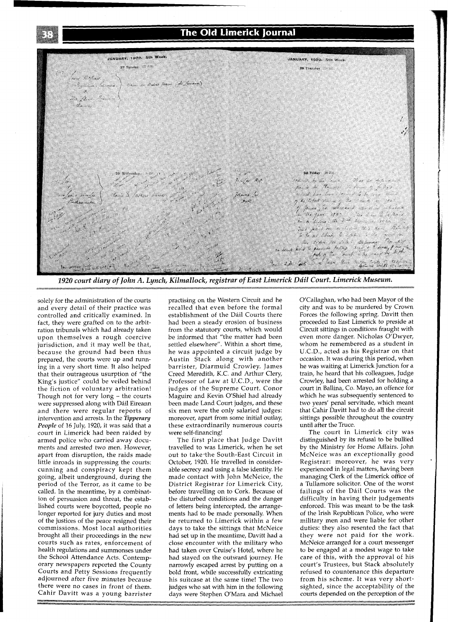## The Old Limerick Journal



*1920 court dia y of John A. Lynch, Kilmallock, registrar of East Limerick Ddil Court. Limerick Museum.* 

solely for the administration of the courts and every detail of their practice was controlled and critically examined. In fact, they were grafted on to the arbitration tribunals which had already taken upon themselves a rough coercive jurisdiction, and it may well be that, because the ground had been thus prepared, the courts were up and running in a very short time. It also helped that their outrageous usurption of "the King's justice" could be veiled behind the fiction of voluntary arbitration! Though not for very long - the courts were suppressed along with Dáil Eireann and there were regular reports of intervention and arrests. In the *Tipperay People* of 16 July, 1920, it was said that a court in Limerick had been raided by armed police who carried away documents and arrested two men. However, apart from disruption, the raids made little inroads in suppressing the courts: cunning and conspiracy kept them going, albeit underground, during the period of the Terror, as it came to be called. In the meantime, by a combination of persuasion and threat, the established courts were boycotted, people no longer reported for jury duties and most of the justices of the peace resigned their commissions. Most local authorities brought all their proceedings in the new courts such as rates, enforcement of health regulations and summonses under the School Attendance Acts. Contemporary newspapers reported the County Courts and Petty Sessions frequently adjourned after five minutes because there were no cases in front of them. Cahir Davitt was a young barrister practising on the Western Circuit and he recalled that even before the formal establishment of the Dail Courts there had been a steady erosion of business from the statutory courts, which would be informed that "the matter had been settled elsewhere". Within a short time, he was appointed a circuit judge by Austin Stack along with another barrister, Diarmuid Crowley. James Creed Meredith, K.C. and Arthur Clery, Professor of Law at U.C.D., were the judges of the Supreme Court. Conor Maguire and Kevin O'Shiel had already been made Land Court judges, and these six men were the only salaried judges: moreover, apart from some initial outlay, these extraordinarily numerous courts were self-financing!

The first place that Judge Davitt travelled to was Limerick, when he set out to take-the South-East Circuit in October, 1920. He travelled in considerable secrecy and using a false identity. He made contact with John McNeice, the District Registrar for Limerick City, before travelling on to Cork. Because of the disturbed conditions and the danger of letters being intercepted, the arrangements had to be made personally. When he returned to Limerick within a few days to take the sittings that McNeice had set up in the meantime, Davitt had a close encounter with the military who had taken over Cruise's Hotel, where he had stayed on the outward journey. He narrowly escaped arrest by putting on a bold front, while successfully extricating his suitcase at the same time! The two judges who sat with him in the following days were Stephen O'Mara and Michael

O'Callaghan, who had been Mayor of the city and was to be murdered by Crown Forces the following spring. Davitt then proceeded to East Limerick to preside at Circuit sittings in conditions fraught with even more danger. Nicholas O'Dwyer, whom he remembered as a student in U.C.D., acted as his Registrar on that occasion. It was during this period, when he was waiting at Limerick Junction for a train, he heard that his colleagues, Judge Crowley, had been arrested for holding a court in Ballina, Co. Mayo, an offence for which he was subsequently sentenced to two years' penal servitude, which meant that Cahir Davitt had to do all the circuit sittings possible throughout the country until after the Truce.

The court in Limerick city was distinguished by its refusal to be bullied by the Ministry for Home Affairs. John McNeice was an exceptionally good Registrar: moreover, he was very experienced in legal matters, having been managing Clerk of the Limerick office of a Tullamore solicitor. One of the worst failings of the Dail Courts was the difficulty in having their judgements enforced. This was meant to be the task of the Irish Republican Police, who were military men and were liable for other duties: they also resented the fact that they were not paid for the work. McNeice arranged for a court messenger to be engaged at a modest wage to take care of this, with the approval of his court's Trustees, but Stack absolutely refused to countenance this departure from his scheme. It was very shortsighted, since the acceptability of the courts depended on the perception of the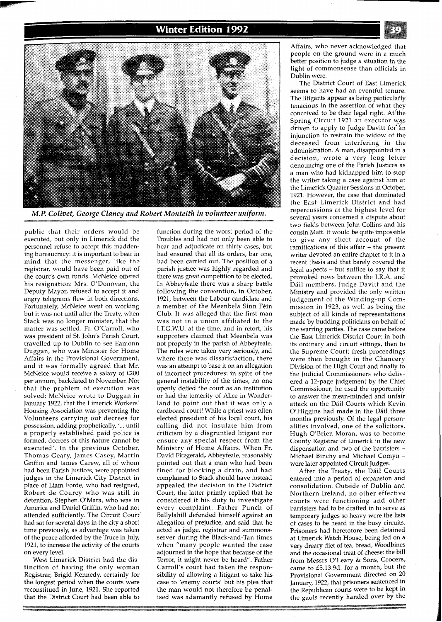## **Winter Edition 1992**



*M.P. Colivet, George Clancy and Robert Monteith in volunteer uniform.* 

public that their orders would be executed, but only in Limerick did the personnel refuse to accept this maddening bureaucracy: it is important to bear in mind that the messenger, like the registrar, would have been paid out of the court's own funds. McNeice offered his resignation: Mrs. O'Donovan, the Deputy Mayor, refused to accept it and angry telegrams flew in both directions. Fortunately, McNeice went on working but it was not until after the Treaty, when Stack was no longer minister, that the matter was settled. Fr. O'Carroll, who was president of St. John's Parish Court, travelled up to Dublin to see Eamonn Duggan, who was Minister for Home Affairs in the Provisional Government, and it was formally agreed that Mr. McNeice would receive a salary of E200 per annum, backdated to November. Not that the problem of execution was solved; McNeice wrote to Duggan in January 1922, that the Limerick Workers' Housing Association was preventing the volunteers carrying out decrees for possession, adding prophetically, **l...** until a properly established paid police is formed, decrees of this nature cannot be executed'. In the previous October, Thomas Geary, James Casey, Martin Griffin and James Carew, all of whom had been Parish Justices, were appointed judges in the Limerick City District in place of Liam Forde, who had resigned, Robert de Courcy who was still in detention, Stephen O'Mara, who was in America and Daniel Griffin, who had not attended sufficiently. The Circuit Court' had sat for several days in the city a short time previously, as advantage was taken of the peace afforded by the Truce in July, 1921, to increase the activity of the courts on every level.

West Limerick District had the distinction of having the only woman Registrar, Brigid Kennedy, certainly for the longest period when the courts were reconstitued in June, 1921. She reported that the District Court had been able to

function during the worst period of the Troubles and had not only been able to hear and adjudicate on thirty cases, but had ensured that all its orders, bar one, had been carried out. The position of a parish justice was highly regarded and there was great competition to be elected. In Abbeyfeale there was a sharp battle following the convention, in October, 1921, between the Labour candidate and a member of the Meenbela Sinn Fein Club. It was alleged that the first man was not in a union affiliated to the I.T.G.W.U. at the time, and in retort, his supporters claimed that Meenbela was not properly in the parish of Abbeyfeale. The rules were taken very seriously, and where there was dissatisfaction, there was an attempt to base it on an allegation of incorrect procedures: in spite of the general instability of the times, no one openly defied the court as an institution or had the temerity of Alice in Wonderland to point out that it was only a cardboard court! While a priest was often elected president of his local court, his calling did not insulate him from criticism by a disgruntled litigant nor ensure any special respect from the Ministry of Home Affairs. When Fr. David Fitzgerald, Abbeyfeale, reasonably pointed out that a man who had been fined for blocking a drain, and had complained to stack should have instead appealed the decision in the District Court, the latter primly replied that he considered it his duty to investigate every complaint. Father Punch of Ballylahill defended himself against an allegation of prejudice, and said that he acted as judge, registrar and summonsserver during the Black-and-Tan times when "many people wanted the case adjourned in the hope that because of the Terror, it might never be heard". Father Carroll's court had taken the responsibility of allowing a litigant to take his case to 'enemy courts' but his plea that the man would not therefore be penalised was adamantly refused by Home

Affairs, who never acknowledged that people on the ground were in a much better position to judge a situation in the light of commonsense than officials in Dublin were.

The District Court of East Limerick seems to have had an eventful tenure. The litigants appear as being particularly tenacious in the assertion of what they conceived to be their legal right. At/the Spring Circuit 1921 an executor was driven to apply to Judge Davitt for an injunction to restrain the widow of the deceased from interfering in the administration. A man, disappointed in a decision, wrote a very long letter denouncing one of the Parish Justices as a man who had kidnapped him to stop the writer taking a case against him at the Limerick Quarter Sessions in October, 1921. However, the case that dominated the East Limerick District and had repercussions at the highest level for several years concerned a dispute about two fields between John Collins and his cousin Matt. It would be quite impossible to give any short account of the ramifications of this affair - the present writer devoted an entire chapter to it in a recent thesis and that barely covered the legal aspects  $-$  but suffice to say that it provoked rows between the I.R.A. and Ddil members, Judge Davitt and the Ministry and provided the only written judgement of the Winding-up Commission in 1923, as well as being the subject of all kinds of representations made by budding politicians on behalf of the warring parties. The case came before the East Limerick District Court in both its ordinary and circuit sittings, then to the Supreme Court; fresh proceedings were then brought in the Chancery Division of the High Court and finally to the Judicial Commissioners who delivered a 12-page judgement by the Chief Commissioner; he used the opportunity to answer the mean-minded and unfair attack on the Dáil Courts which Kevin O'Higgins had made in the Dáil three months previously. Of the legal personalities involved, one of the solicitors, Hugh O'Brien Moran, was to become County Registrar of Limerick in the new dispensation and two of the barristers - Michael Binchy and Michael Comyn were later appointed Circuit Judges.

After the Treaty, the Dail Courts entered into a period of expansion and consolidation. Outside of Dublin and Northern Ireland, no other effective courts were functioning and other barristers had to be drafted in to serve as temporary judges so heavy were the lists of cases to be heard in the busy circuits. Prisoners had heretofore been detained at Limerick Watch House, being fed on a very dreary diet of tea, bread, Woodbines and the occasional treat of cheese: the bill from Messrs O'Leary & Sons, Grocers, came to E5.13.9d. for a month, but the Provisional Government directed on 20 January, 1922, that prisoners sentenced in the Republican courts were to be kept in the gaols recently handed over by the